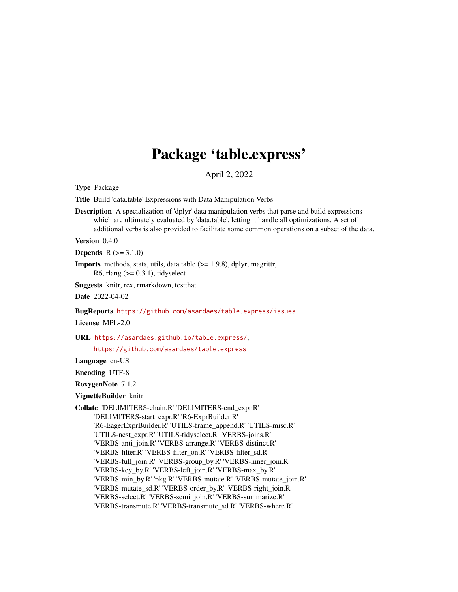# Package 'table.express'

April 2, 2022

<span id="page-0-0"></span>Type Package

Title Build 'data.table' Expressions with Data Manipulation Verbs

Description A specialization of 'dplyr' data manipulation verbs that parse and build expressions which are ultimately evaluated by 'data.table', letting it handle all optimizations. A set of additional verbs is also provided to facilitate some common operations on a subset of the data.

Version 0.4.0

**Depends**  $R (= 3.1.0)$ 

Imports methods, stats, utils, data.table (>= 1.9.8), dplyr, magrittr, R6, rlang  $(>= 0.3.1)$ , tidyselect

Suggests knitr, rex, rmarkdown, testthat

Date 2022-04-02

BugReports <https://github.com/asardaes/table.express/issues>

License MPL-2.0

URL <https://asardaes.github.io/table.express/>,

<https://github.com/asardaes/table.express>

Language en-US

Encoding UTF-8

RoxygenNote 7.1.2

VignetteBuilder knitr

Collate 'DELIMITERS-chain.R' 'DELIMITERS-end\_expr.R' 'DELIMITERS-start\_expr.R' 'R6-ExprBuilder.R' 'R6-EagerExprBuilder.R' 'UTILS-frame\_append.R' 'UTILS-misc.R' 'UTILS-nest\_expr.R' 'UTILS-tidyselect.R' 'VERBS-joins.R' 'VERBS-anti\_join.R' 'VERBS-arrange.R' 'VERBS-distinct.R' 'VERBS-filter.R' 'VERBS-filter\_on.R' 'VERBS-filter\_sd.R' 'VERBS-full\_join.R' 'VERBS-group\_by.R' 'VERBS-inner\_join.R' 'VERBS-key\_by.R' 'VERBS-left\_join.R' 'VERBS-max\_by.R' 'VERBS-min\_by.R' 'pkg.R' 'VERBS-mutate.R' 'VERBS-mutate\_join.R' 'VERBS-mutate\_sd.R' 'VERBS-order\_by.R' 'VERBS-right\_join.R' 'VERBS-select.R' 'VERBS-semi\_join.R' 'VERBS-summarize.R' 'VERBS-transmute.R' 'VERBS-transmute\_sd.R' 'VERBS-where.R'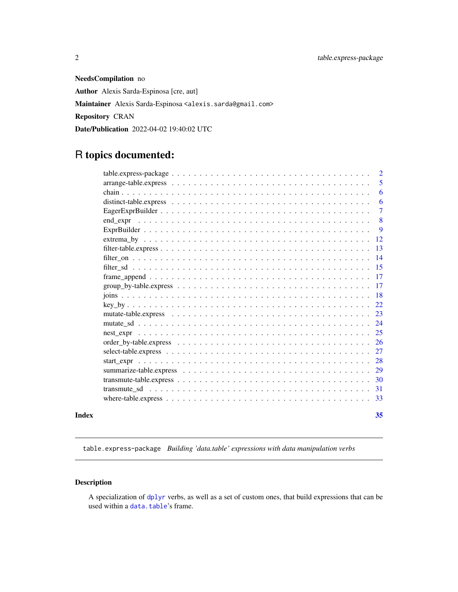<span id="page-1-0"></span>NeedsCompilation no Author Alexis Sarda-Espinosa [cre, aut] Maintainer Alexis Sarda-Espinosa <alexis.sarda@gmail.com> Repository CRAN Date/Publication 2022-04-02 19:40:02 UTC

## R topics documented:

|       |          | $\overline{2}$ |
|-------|----------|----------------|
|       |          | 5              |
|       |          | 6              |
|       |          | 6              |
|       |          | $\overline{7}$ |
|       | end expr | 8              |
|       |          | -9             |
|       |          | -12            |
|       |          | 13             |
|       |          | 14             |
|       |          | 15             |
|       |          | -17            |
|       |          |                |
|       |          | -18            |
|       |          |                |
|       |          | 23             |
|       |          | 24             |
|       |          |                |
|       |          | <b>26</b>      |
|       |          |                |
|       |          | 28             |
|       |          | 29             |
|       |          | -30            |
|       |          | 31             |
|       |          | -33            |
| Index |          | 35             |

<span id="page-1-1"></span>table.express-package *Building 'data.table' expressions with data manipulation verbs*

## Description

A specialization of [dplyr](#page-0-0) verbs, as well as a set of custom ones, that build expressions that can be used within a [data.table](#page-0-0)'s frame.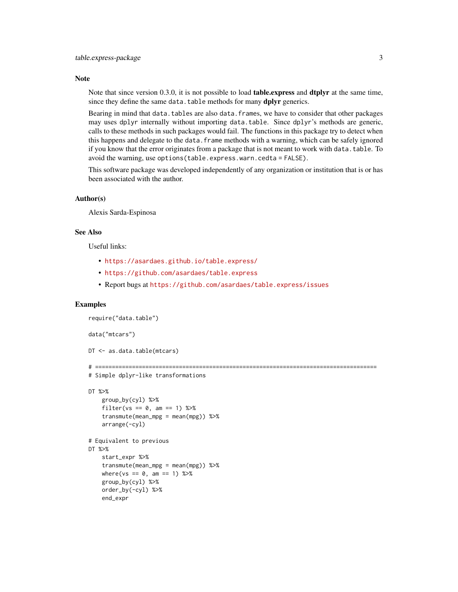#### **Note**

Note that since version 0.3.0, it is not possible to load **table.** express and **dtplyr** at the same time, since they define the same data.table methods for many **dplyr** generics.

Bearing in mind that data.tables are also data.frames, we have to consider that other packages may uses dplyr internally without importing data.table. Since dplyr's methods are generic, calls to these methods in such packages would fail. The functions in this package try to detect when this happens and delegate to the data.frame methods with a warning, which can be safely ignored if you know that the error originates from a package that is not meant to work with data.table. To avoid the warning, use options(table.express.warn.cedta = FALSE).

This software package was developed independently of any organization or institution that is or has been associated with the author.

#### Author(s)

Alexis Sarda-Espinosa

#### See Also

Useful links:

- <https://asardaes.github.io/table.express/>
- <https://github.com/asardaes/table.express>
- Report bugs at <https://github.com/asardaes/table.express/issues>

#### Examples

```
require("data.table")
data("mtcars")
DT <- as.data.table(mtcars)
# ====================================================================================
# Simple dplyr-like transformations
DT %>%
   group_by(cyl) %>%
    filter(vs == 0, am == 1) %>%
    transmute(mean_mpg = mean(mpg)) %>%
    arrange(-cyl)
# Equivalent to previous
DT %>%
    start_expr %>%
    transmute(mean_mpg = mean(mpg)) %>%
   where(vs == 0, am == 1) %>%
   group_by(cyl) %>%
   order_by(-cyl) %>%
   end_expr
```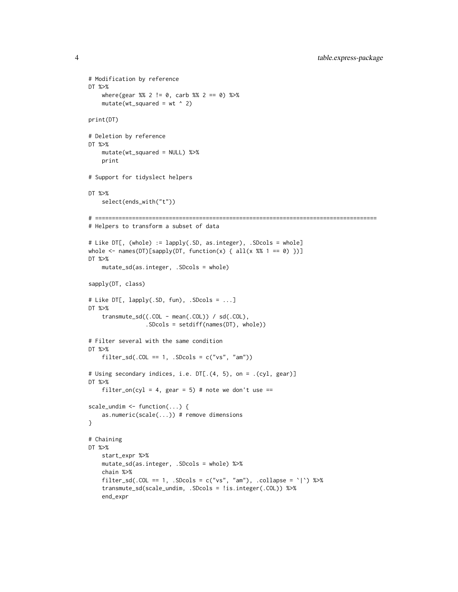```
# Modification by reference
DT %>%
    where(gear %% 2 != 0, carb %% 2 == 0) %>%
    mutate(wt_squared = wt ^ 2)print(DT)
# Deletion by reference
DT %>%
    mutate(wt_squared = NULL) %>%
   print
# Support for tidyslect helpers
DT %>%
    select(ends_with("t"))
# ====================================================================================
# Helpers to transform a subset of data
# Like DT[, (whole) := lapply(.SD, as.integer), .SDcols = whole]
whole \leq names(DT)[sapply(DT, function(x) { all(x %% 1 == 0) })]
DT %>%
    mutate_sd(as.integer, .SDcols = whole)
sapply(DT, class)
# Like DT[, lapply(.SD, fun), .SDcols = ...]
DT %>%
    transmute_sd((.COL - mean(.COL)) / sd(.COL),
                 .SDcols = setdiff(names(DT), whole))
# Filter several with the same condition
DT %>%
    filter_sd(.COL == 1, .SDcols = c("vs", "am"))
# Using secondary indices, i.e. DT[.(4, 5), on = .(cyl, gear)]
DT %>%
    filter_on(cyl = 4, gear = 5) # note we don't use ==
scale_undim \leq function(...) {
    as.numeric(scale(...)) # remove dimensions
}
# Chaining
DT %>%
   start_expr %>%
   mutate_sd(as.integer, .SDcols = whole) %>%
   chain %>%
   filter_sd(.COL == 1, .SDcols = c("vs", "am"), .collapse = `|`) %>%
    transmute_sd(scale_undim, .SDcols = !is.integer(.COL)) %>%
    end_expr
```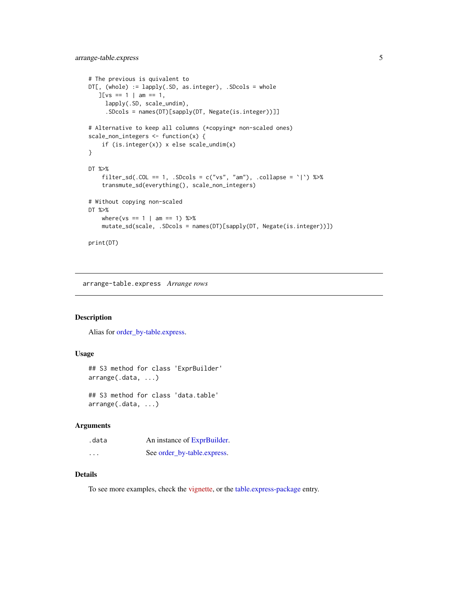```
# The previous is quivalent to
DT[, (whole) := lapply(.SD, as.integer), .SDcols = whole
  J[vs == 1 | am == 1,lapply(.SD, scale_undim),
     .SDcols = names(DT)[sapply(DT, Negate(is.integer))]]
# Alternative to keep all columns (*copying* non-scaled ones)
scale_non_integers <- function(x) {
    if (is.integer(x)) x else scale_undim(x)
}
DT %>%
    filter_sd(.COL == 1, .SDcols = c("vs", "am"), collapse = '\) %>%
    transmute_sd(everything(), scale_non_integers)
# Without copying non-scaled
DT %>%
    where(vs == 1 | am == 1) %>%
   mutate_sd(scale, .SDcols = names(DT)[sapply(DT, Negate(is.integer))])
print(DT)
```
arrange-table.express *Arrange rows*

#### Description

Alias for [order\\_by-table.express.](#page-25-1)

## Usage

```
## S3 method for class 'ExprBuilder'
arrange(.data, ...)
## S3 method for class 'data.table'
```
arrange(.data, ...)

#### Arguments

| .data                   | An instance of ExprBuilder. |
|-------------------------|-----------------------------|
| $\cdot$ $\cdot$ $\cdot$ | See order_by-table.express. |

## Details

To see more examples, check the [vignette,](https://asardaes.github.io/table.express/articles/table.express.html) or the [table.express-package](#page-1-1) entry.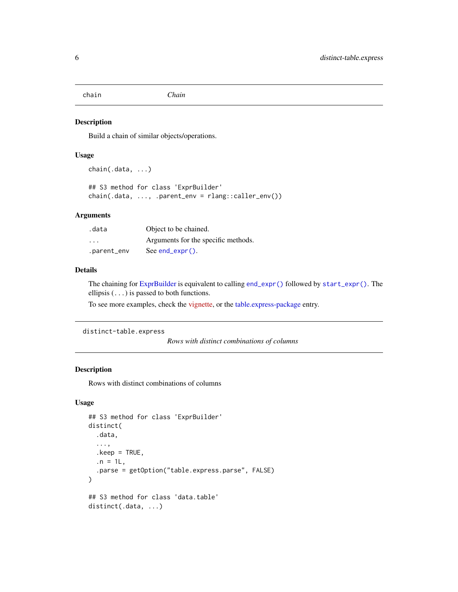<span id="page-5-1"></span><span id="page-5-0"></span>chain *Chain*

#### Description

Build a chain of similar objects/operations.

#### Usage

```
chain(.data, ...)
```

```
## S3 method for class 'ExprBuilder'
chain(.data, ..., .parent_env = rlang::caller_env())
```
#### Arguments

| .data                   | Object to be chained.               |
|-------------------------|-------------------------------------|
| $\cdot$ $\cdot$ $\cdot$ | Arguments for the specific methods. |
| .parent_env             | $See end\_expr()$ .                 |

#### Details

The chaining for [ExprBuilder](#page-8-1) is equivalent to calling [end\\_expr\(\)](#page-7-1) followed by [start\\_expr\(\)](#page-27-1). The ellipsis  $(\ldots)$  is passed to both functions.

To see more examples, check the [vignette,](https://asardaes.github.io/table.express/articles/table.express.html) or the [table.express-package](#page-1-1) entry.

```
distinct-table.express
```
*Rows with distinct combinations of columns*

#### Description

Rows with distinct combinations of columns

```
## S3 method for class 'ExprBuilder'
distinct(
  .data,
  ...,
  .keep = TRUE,
  . n = 1L.
  .parse = getOption("table.express.parse", FALSE)
\lambda## S3 method for class 'data.table'
distinct(.data, ...)
```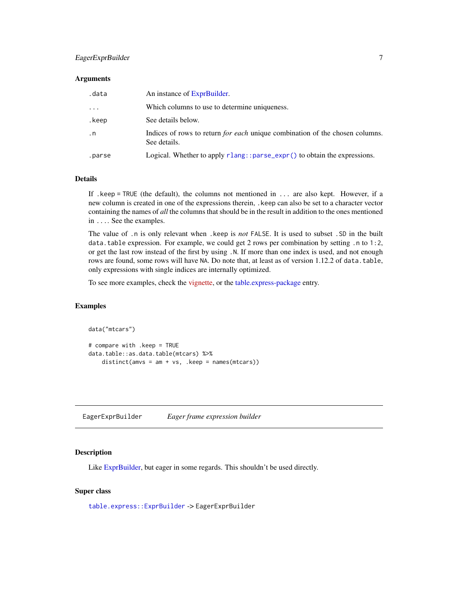#### <span id="page-6-0"></span>EagerExprBuilder 7

#### **Arguments**

| .data     | An instance of ExprBuilder.                                                                         |
|-----------|-----------------------------------------------------------------------------------------------------|
| .         | Which columns to use to determine uniqueness.                                                       |
| .keep     | See details below.                                                                                  |
| $\cdot$ n | Indices of rows to return <i>for each</i> unique combination of the chosen columns.<br>See details. |
| .parse    | Logical. Whether to apply $r$ lang:: $parse$ _expr() to obtain the expressions.                     |

#### Details

If .keep = TRUE (the default), the columns not mentioned in ... are also kept. However, if a new column is created in one of the expressions therein, .keep can also be set to a character vector containing the names of *all* the columns that should be in the result in addition to the ones mentioned in .... See the examples.

The value of .n is only relevant when .keep is *not* FALSE. It is used to subset .SD in the built data.table expression. For example, we could get 2 rows per combination by setting .n to 1:2, or get the last row instead of the first by using .N. If more than one index is used, and not enough rows are found, some rows will have NA. Do note that, at least as of version 1.12.2 of data.table, only expressions with single indices are internally optimized.

To see more examples, check the [vignette,](https://asardaes.github.io/table.express/articles/table.express.html) or the [table.express-package](#page-1-1) entry.

#### Examples

```
data("mtcars")
# compare with .keep = TRUE
data.table::as.data.table(mtcars) %>%
    distinct(amvs = am + vs, \nkeep = names(mtcars))
```
<span id="page-6-1"></span>EagerExprBuilder *Eager frame expression builder*

#### Description

Like [ExprBuilder,](#page-8-1) but eager in some regards. This shouldn't be used directly.

#### Super class

[table.express::ExprBuilder](#page-0-0) -> EagerExprBuilder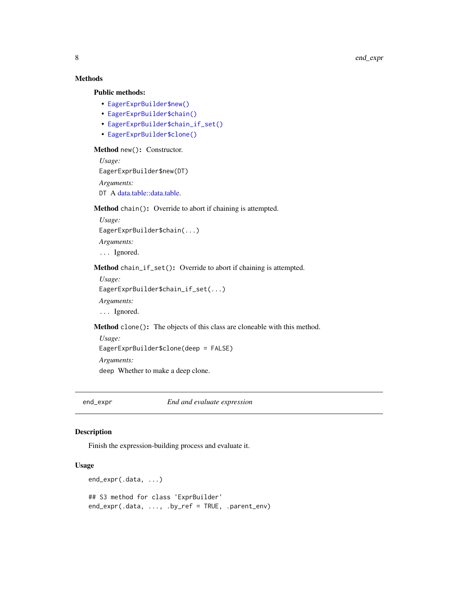## <span id="page-7-0"></span>Methods

#### Public methods:

- [EagerExprBuilder\\$new\(\)](#page-7-2)
- [EagerExprBuilder\\$chain\(\)](#page-7-3)
- [EagerExprBuilder\\$chain\\_if\\_set\(\)](#page-7-4)
- [EagerExprBuilder\\$clone\(\)](#page-7-5)

#### <span id="page-7-2"></span>Method new(): Constructor.

```
Usage:
EagerExprBuilder$new(DT)
Arguments:
data.table::data.table.
```
#### <span id="page-7-3"></span>Method chain(): Override to abort if chaining is attempted.

*Usage:* EagerExprBuilder\$chain(...) *Arguments:* ... Ignored.

## <span id="page-7-4"></span>Method chain\_if\_set(): Override to abort if chaining is attempted.

*Usage:*

EagerExprBuilder\$chain\_if\_set(...)

*Arguments:*

... Ignored.

<span id="page-7-5"></span>Method clone(): The objects of this class are cloneable with this method.

*Usage:*

EagerExprBuilder\$clone(deep = FALSE)

*Arguments:*

deep Whether to make a deep clone.

<span id="page-7-1"></span>end\_expr *End and evaluate expression*

## Description

Finish the expression-building process and evaluate it.

```
end_expr(.data, ...)
## S3 method for class 'ExprBuilder'
end_expr(.data, ..., .by_ref = TRUE, .parent_env)
```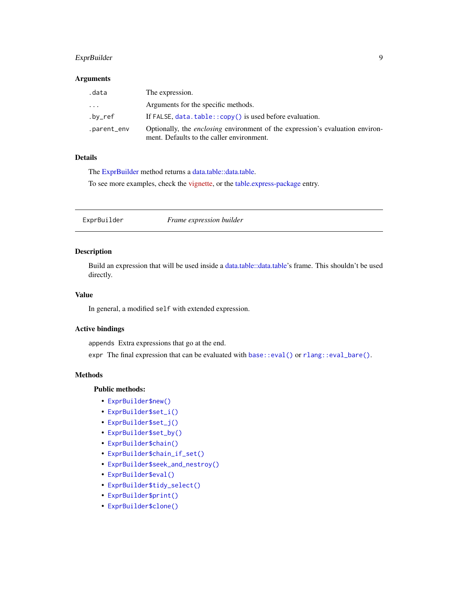## <span id="page-8-0"></span>ExprBuilder 9

#### Arguments

| .data       | The expression.                                                                                                                   |
|-------------|-----------------------------------------------------------------------------------------------------------------------------------|
| .           | Arguments for the specific methods.                                                                                               |
| .bv_ref     | If FALSE, $data.title::copy()$ is used before evaluation.                                                                         |
| .parent_env | Optionally, the <i>enclosing</i> environment of the expression's evaluation environ-<br>ment. Defaults to the caller environment. |

#### Details

The [ExprBuilder](#page-8-1) method returns a [data.table::data.table.](#page-0-0)

To see more examples, check the [vignette,](https://asardaes.github.io/table.express/articles/table.express.html) or the [table.express-package](#page-1-1) entry.

<span id="page-8-1"></span>ExprBuilder *Frame expression builder*

## Description

Build an expression that will be used inside a [data.table::data.table'](#page-0-0)s frame. This shouldn't be used directly.

## Value

In general, a modified self with extended expression.

## Active bindings

appends Extra expressions that go at the end.

expr The final expression that can be evaluated with [base::eval\(\)](#page-0-0) or [rlang::eval\\_bare\(\)](#page-0-0).

#### Methods

## Public methods:

- [ExprBuilder\\$new\(\)](#page-7-2)
- [ExprBuilder\\$set\\_i\(\)](#page-9-0)
- [ExprBuilder\\$set\\_j\(\)](#page-9-1)
- [ExprBuilder\\$set\\_by\(\)](#page-9-2)
- [ExprBuilder\\$chain\(\)](#page-7-3)
- [ExprBuilder\\$chain\\_if\\_set\(\)](#page-7-4)
- [ExprBuilder\\$seek\\_and\\_nestroy\(\)](#page-10-0)
- [ExprBuilder\\$eval\(\)](#page-10-1)
- [ExprBuilder\\$tidy\\_select\(\)](#page-10-2)
- [ExprBuilder\\$print\(\)](#page-10-3)
- [ExprBuilder\\$clone\(\)](#page-7-5)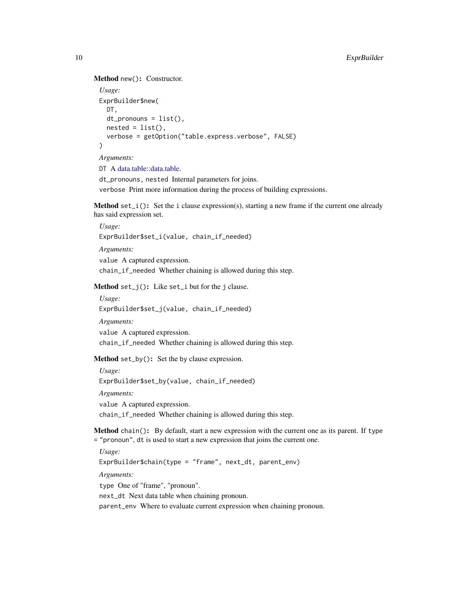```
Method new(): Constructor.
```

```
Usage:
ExprBuilder$new(
  DT,
  dt_pronouns = list(),
  nested = list(),
  verbose = getOption("table.express.verbose", FALSE)
)
Arguments:
```
DT A [data.table::data.table.](#page-0-0)

dt\_pronouns, nested Internal parameters for joins. verbose Print more information during the process of building expressions.

<span id="page-9-0"></span>Method set<sub>i</sub>(): Set the i clause expression(s), starting a new frame if the current one already has said expression set.

*Usage:* ExprBuilder\$set\_i(value, chain\_if\_needed) *Arguments:* value A captured expression. chain\_if\_needed Whether chaining is allowed during this step.

<span id="page-9-1"></span>Method  $set_j()$ : Like  $set_i$  but for the j clause.

*Usage:* ExprBuilder\$set\_j(value, chain\_if\_needed) *Arguments:* value A captured expression. chain\_if\_needed Whether chaining is allowed during this step.

<span id="page-9-2"></span>Method set\_by(): Set the by clause expression.

*Usage:* ExprBuilder\$set\_by(value, chain\_if\_needed) *Arguments:* value A captured expression. chain\_if\_needed Whether chaining is allowed during this step.

Method chain(): By default, start a new expression with the current one as its parent. If type = "pronoun", dt is used to start a new expression that joins the current one.

*Usage:*

ExprBuilder\$chain(type = "frame", next\_dt, parent\_env)

*Arguments:*

type One of "frame", "pronoun".

next\_dt Next data table when chaining pronoun.

parent\_env Where to evaluate current expression when chaining pronoun.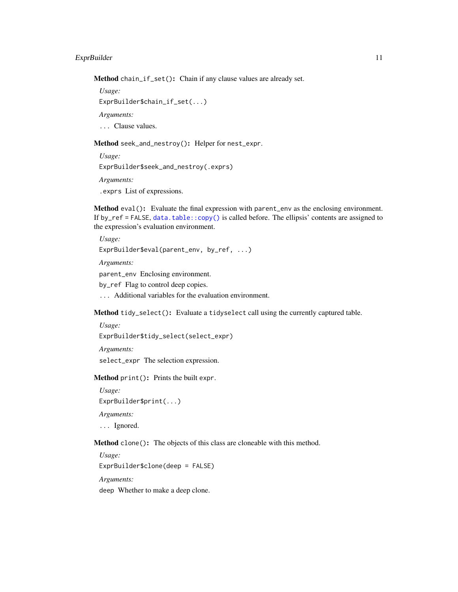<span id="page-10-4"></span>Method chain\_if\_set(): Chain if any clause values are already set.

*Usage:*

ExprBuilder\$chain\_if\_set(...)

*Arguments:*

... Clause values.

<span id="page-10-0"></span>Method seek\_and\_nestroy(): Helper for nest\_expr.

*Usage:* ExprBuilder\$seek\_and\_nestroy(.exprs)

*Arguments:*

.exprs List of expressions.

<span id="page-10-1"></span>Method eval(): Evaluate the final expression with parent\_env as the enclosing environment. If by\_ref = FALSE, [data.table::copy\(\)](#page-0-0) is called before. The ellipsis' contents are assigned to the expression's evaluation environment.

*Usage:* ExprBuilder\$eval(parent\_env, by\_ref, ...) *Arguments:* parent\_env Enclosing environment. by\_ref Flag to control deep copies. ... Additional variables for the evaluation environment.

<span id="page-10-2"></span>Method tidy\_select(): Evaluate a tidyselect call using the currently captured table.

*Usage:*

ExprBuilder\$tidy\_select(select\_expr)

*Arguments:*

select\_expr The selection expression.

<span id="page-10-3"></span>Method print(): Prints the built expr.

*Usage:*

ExprBuilder\$print(...)

*Arguments:*

... Ignored.

Method clone(): The objects of this class are cloneable with this method.

*Usage:* ExprBuilder\$clone(deep = FALSE) *Arguments:* deep Whether to make a deep clone.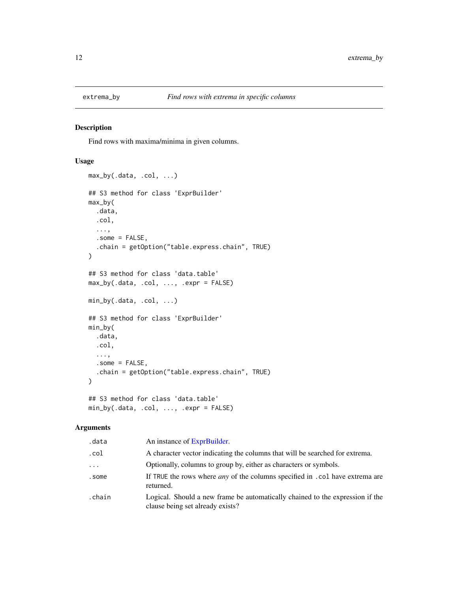<span id="page-11-0"></span>

## Description

Find rows with maxima/minima in given columns.

## Usage

```
max_by(.data, .col, ...)
## S3 method for class 'ExprBuilder'
max_by(
  .data,
  .col,
  ...,
  .some = FALSE,
  .chain = getOption("table.express.chain", TRUE)
)
## S3 method for class 'data.table'
max_by(.data, .col, ..., .expr = FALSE)
min_by(.data, .col, ...)
## S3 method for class 'ExprBuilder'
min_by(
  .data,
  .col,
  ...,
  .some = FALSE,
  .chain = getOption("table.express.chain", TRUE)
)
## S3 method for class 'data.table'
min_by(.data, .col, ..., .expr = FALSE)
```

| .data    | An instance of ExprBuilder.                                                                                       |
|----------|-------------------------------------------------------------------------------------------------------------------|
| .col     | A character vector indicating the columns that will be searched for extrema.                                      |
| $\cdots$ | Optionally, columns to group by, either as characters or symbols.                                                 |
| .some    | If TRUE the rows where <i>any</i> of the columns specified in . col have extrema are<br>returned.                 |
| .chain   | Logical. Should a new frame be automatically chained to the expression if the<br>clause being set already exists? |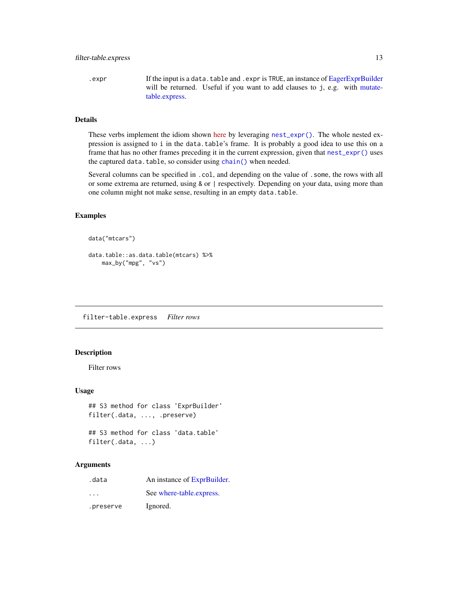<span id="page-12-0"></span>.expr If the input is a data.table and .expr is TRUE, an instance of [EagerExprBuilder](#page-6-1) will be returned. Useful if you want to add clauses to j, e.g. with [mutate](#page-22-1)[table.express.](#page-22-1)

## Details

These verbs implement the idiom shown [here](https://stackoverflow.com/q/16573995/5793905) by leveraging [nest\\_expr\(\)](#page-24-1). The whole nested expression is assigned to i in the data.table's frame. It is probably a good idea to use this on a frame that has no other frames preceding it in the current expression, given that [nest\\_expr\(\)](#page-24-1) uses the captured data.table, so consider using [chain\(\)](#page-5-1) when needed.

Several columns can be specified in .col, and depending on the value of .some, the rows with all or some extrema are returned, using & or | respectively. Depending on your data, using more than one column might not make sense, resulting in an empty data.table.

#### Examples

```
data("mtcars")
```

```
data.table::as.data.table(mtcars) %>%
   max_by("mpg", "vs")
```
filter-table.express *Filter rows*

## Description

Filter rows

#### Usage

```
## S3 method for class 'ExprBuilder'
filter(.data, ..., .preserve)
```

```
## S3 method for class 'data.table'
filter(.data, ...)
```

| .data                   | An instance of ExprBuilder. |
|-------------------------|-----------------------------|
| $\cdot$ $\cdot$ $\cdot$ | See where-table.express.    |
| .preserve               | Ignored.                    |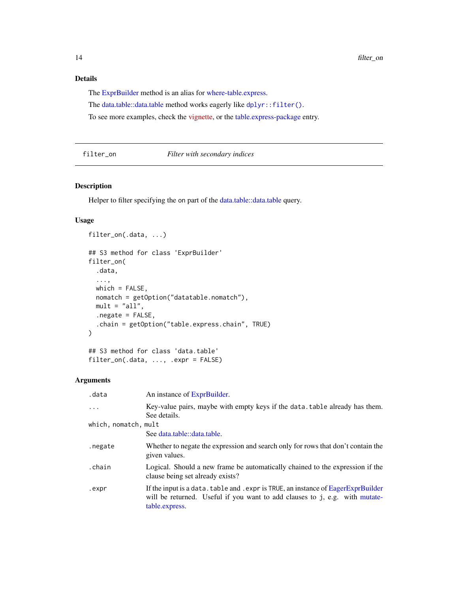## <span id="page-13-0"></span>Details

The [ExprBuilder](#page-8-1) method is an alias for [where-table.express.](#page-32-1)

The [data.table::data.table](#page-0-0) method works eagerly like [dplyr::filter\(\)](#page-0-0).

To see more examples, check the [vignette,](https://asardaes.github.io/table.express/articles/table.express.html) or the [table.express-package](#page-1-1) entry.

#### filter\_on *Filter with secondary indices*

#### Description

Helper to filter specifying the on part of the [data.table::data.table](#page-0-0) query.

#### Usage

```
filter_on(.data, ...)
## S3 method for class 'ExprBuilder'
filter_on(
  .data,
  ...,
 which = FALSE,
 nomatch = getOption("datatable.nomatch"),
 mult = "all",.negate = FALSE,
  .chain = getOption("table.express.chain", TRUE)
\mathcal{L}## S3 method for class 'data.table'
filter_on(.data, ..., .expr = FALSE)
```

| .data                | An instance of ExprBuilder.                                                                                                                                                        |
|----------------------|------------------------------------------------------------------------------------------------------------------------------------------------------------------------------------|
| $\ddotsc$            | Key-value pairs, maybe with empty keys if the data. table already has them.<br>See details.                                                                                        |
| which, nomatch, mult |                                                                                                                                                                                    |
|                      | See data.table::data.table.                                                                                                                                                        |
| .negate              | Whether to negate the expression and search only for rows that don't contain the<br>given values.                                                                                  |
| .chain               | Logical. Should a new frame be automatically chained to the expression if the<br>clause being set already exists?                                                                  |
| .expr                | If the input is a data. table and . expr is TRUE, an instance of EagerExprBuilder<br>will be returned. Useful if you want to add clauses to j, e.g. with mutate-<br>table.express. |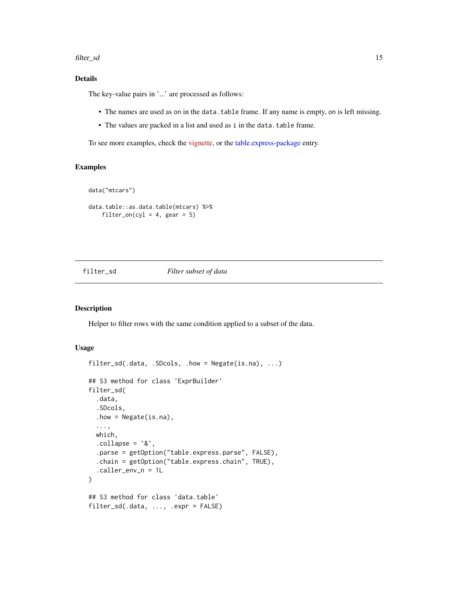#### <span id="page-14-0"></span>filter\_sd 15

## Details

The key-value pairs in '...' are processed as follows:

- The names are used as on in the data.table frame. If any name is empty, on is left missing.
- The values are packed in a list and used as i in the data.table frame.

To see more examples, check the [vignette,](https://asardaes.github.io/table.express/articles/table.express.html) or the [table.express-package](#page-1-1) entry.

## Examples

```
data("mtcars")
```

```
data.table::as.data.table(mtcars) %>%
   filter_on(cyl = 4, gear = 5)
```
#### filter\_sd *Filter subset of data*

## Description

Helper to filter rows with the same condition applied to a subset of the data.

```
filter_sd(.data, .SDcols, .how = Negate(is.na), ...)
## S3 method for class 'ExprBuilder'
filter_sd(
  .data,
  .SDcols,
  .how = Negate(is.na),
  ...,
 which,
  \text{collapse} = \text{``&\,},
  .parse = getOption("table.express.parse", FALSE),
  .chain = getOption("table.express.chain", TRUE),
  .caller_env_n = 1L
)
## S3 method for class 'data.table'
filter_sd(.data, ..., .expr = FALSE)
```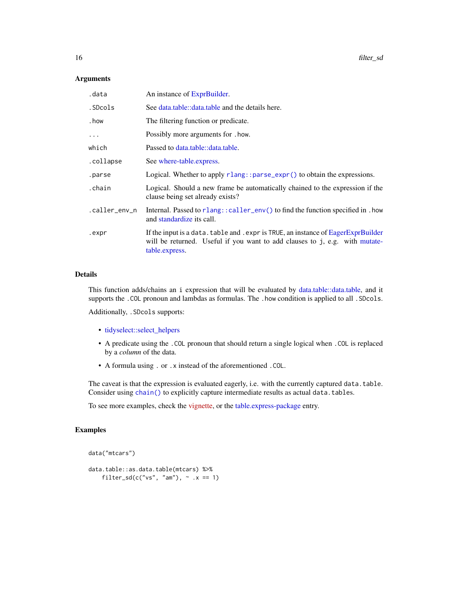<span id="page-15-0"></span>

| .data         | An instance of ExprBuilder.                                                                                                                                                        |
|---------------|------------------------------------------------------------------------------------------------------------------------------------------------------------------------------------|
| .SDcols       | See data.table::data.table and the details here.                                                                                                                                   |
| . how         | The filtering function or predicate.                                                                                                                                               |
| $\cdots$      | Possibly more arguments for . how.                                                                                                                                                 |
| which         | Passed to data.table::data.table.                                                                                                                                                  |
| .collapse     | See where-table.express.                                                                                                                                                           |
| .parse        | Logical. Whether to apply rlang::parse_expr() to obtain the expressions.                                                                                                           |
| .chain        | Logical. Should a new frame be automatically chained to the expression if the<br>clause being set already exists?                                                                  |
| .caller_env_n | Internal. Passed to rlang::caller_env() to find the function specified in . how<br>and standardize its call.                                                                       |
| .expr         | If the input is a data. table and . expr is TRUE, an instance of EagerExprBuilder<br>will be returned. Useful if you want to add clauses to j, e.g. with mutate-<br>table.express. |

#### Details

This function adds/chains an i expression that will be evaluated by [data.table::data.table,](#page-0-0) and it supports the .COL pronoun and lambdas as formulas. The .how condition is applied to all .SDcols.

Additionally, .SDcols supports:

- [tidyselect::select\\_helpers](#page-0-0)
- A predicate using the .COL pronoun that should return a single logical when .COL is replaced by a *column* of the data.
- A formula using . or .x instead of the aforementioned .COL.

The caveat is that the expression is evaluated eagerly, i.e. with the currently captured data.table. Consider using [chain\(\)](#page-5-1) to explicitly capture intermediate results as actual data.tables.

To see more examples, check the [vignette,](https://asardaes.github.io/table.express/articles/table.express.html) or the [table.express-package](#page-1-1) entry.

#### Examples

```
data("mtcars")
```

```
data.table::as.data.table(mtcars) %>%
    filter_sd(c("vs", "am"), \sim .x == 1)
```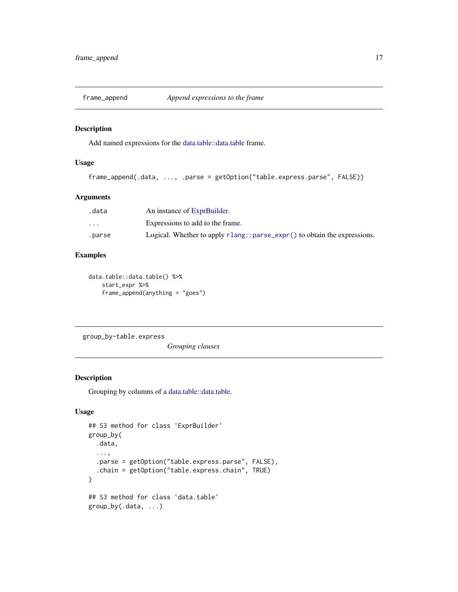<span id="page-16-0"></span>

## Description

Add named expressions for the [data.table::data.table](#page-0-0) frame.

## Usage

```
frame_append(.data, ..., .parse = getOption("table.express.parse", FALSE))
```
#### Arguments

| .data                   | An instance of ExprBuilder.                                                             |
|-------------------------|-----------------------------------------------------------------------------------------|
| $\cdot$ $\cdot$ $\cdot$ | Expressions to add to the frame.                                                        |
| .parse                  | Logical. Whether to apply $r$ lang:: $parse_{\text{expr}}()$ to obtain the expressions. |

## Examples

```
data.table::data.table() %>%
   start_expr %>%
   frame_append(anything = "goes")
```
group\_by-table.express

*Grouping clauses*

## Description

Grouping by columns of a [data.table::data.table.](#page-0-0)

```
## S3 method for class 'ExprBuilder'
group_by(
  .data,
  ...,
  .parse = getOption("table.express.parse", FALSE),
  .chain = getOption("table.express.chain", TRUE)
\lambda## S3 method for class 'data.table'
group_by(.data, ...)
```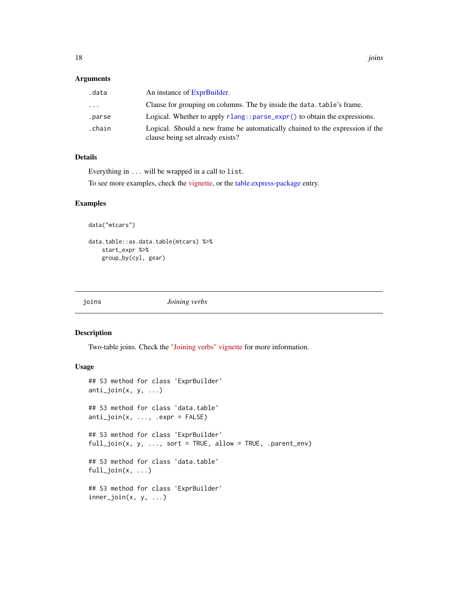<span id="page-17-0"></span>

| .data    | An instance of ExprBuilder.                                                                                       |
|----------|-------------------------------------------------------------------------------------------------------------------|
| $\cdots$ | Clause for grouping on columns. The by inside the data. table's frame.                                            |
| .parse   | Logical. Whether to apply $rlang::parse\_expr()$ to obtain the expressions.                                       |
| .chain   | Logical. Should a new frame be automatically chained to the expression if the<br>clause being set already exists? |

## Details

Everything in ... will be wrapped in a call to list.

To see more examples, check the [vignette,](https://asardaes.github.io/table.express/articles/table.express.html) or the [table.express-package](#page-1-1) entry.

#### Examples

```
data("mtcars")
```

```
data.table::as.data.table(mtcars) %>%
   start_expr %>%
   group_by(cyl, gear)
```
joins *Joining verbs*

## Description

Two-table joins. Check the ["Joining verbs" vignette](https://asardaes.github.io/table.express/articles/joins.html) for more information.

```
## S3 method for class 'ExprBuilder'
anti_join(x, y, ...)
## S3 method for class 'data.table'
anti_join(x, ..., .expr = FALSE)
## S3 method for class 'ExprBuilder'
full\_join(x, y, ..., sort = TRUE, allow = TRUE, .parent\_env)## S3 method for class 'data.table'
full_join(x, ...)
## S3 method for class 'ExprBuilder'
inner_join(x, y, ...)
```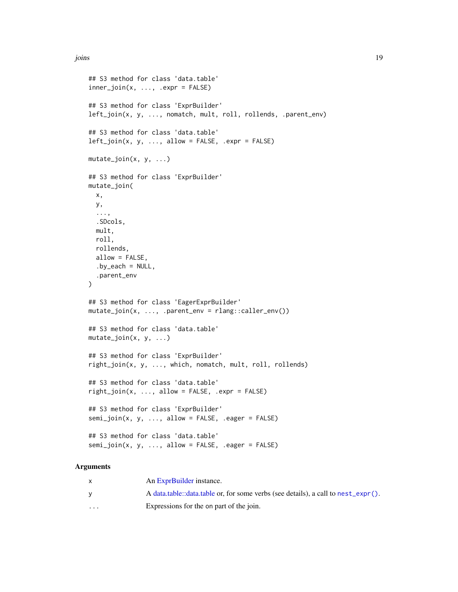```
## S3 method for class 'data.table'
inner\_join(x, ..., .expr = FALSE)## S3 method for class 'ExprBuilder'
left_join(x, y, ..., nomatch, mult, roll, rollends, .parent_env)
## S3 method for class 'data.table'
left\_join(x, y, ..., allow = FALSE, .expr = FALSE)mutate_join(x, y, ...)
## S3 method for class 'ExprBuilder'
mutate_join(
 x,
 y,
  ...,
  .SDcols,
 mult,
 roll,
  rollends,
  allow = FALSE,
  by<sub>ce</sub>each = NULL,
  .parent_env
\lambda## S3 method for class 'EagerExprBuilder'
mutate_join(x, ..., .parent_env = rlang::caller_env())
## S3 method for class 'data.table'
mutate\_join(x, y, ...)## S3 method for class 'ExprBuilder'
right_join(x, y, ..., which, nomatch, mult, roll, rollends)
## S3 method for class 'data.table'
right\_join(x, ..., allow = FALSE, .expr = FALSE)## S3 method for class 'ExprBuilder'
semi_join(x, y, ..., allow = FALSE, .eager = FALSE)
## S3 method for class 'data.table'
semi_join(x, y, ..., allow = FALSE, .eager = FALSE)
```

|                      | An ExprBuilder instance.                                                          |
|----------------------|-----------------------------------------------------------------------------------|
|                      | A data table: data table or, for some verbs (see details), a call to nest_expr(). |
| $\ddot{\phantom{0}}$ | Expressions for the on part of the join.                                          |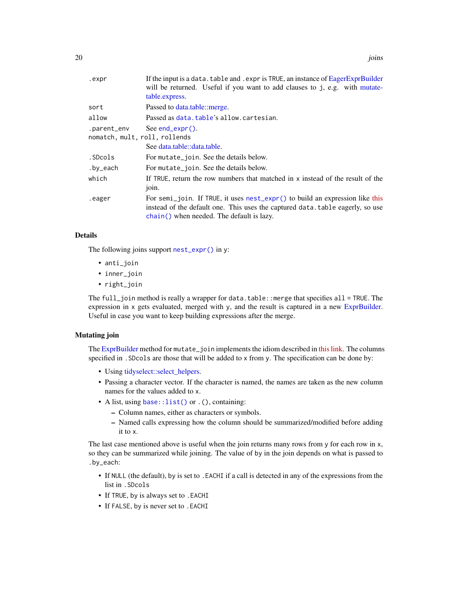<span id="page-19-0"></span>

| .expr                                        | If the input is a data. table and . expr is TRUE, an instance of EagerExprBuilder<br>will be returned. Useful if you want to add clauses to j, e.g. with mutate-<br>table.express.                         |
|----------------------------------------------|------------------------------------------------------------------------------------------------------------------------------------------------------------------------------------------------------------|
| sort                                         | Passed to data.table::merge.                                                                                                                                                                               |
| allow                                        | Passed as data.table's allow.cartesian.                                                                                                                                                                    |
| .parent_env<br>nomatch, mult, roll, rollends | See $end$ ( $expr()$ .                                                                                                                                                                                     |
|                                              | See data.table::data.table.                                                                                                                                                                                |
| .SDcols                                      | For mutate_join. See the details below.                                                                                                                                                                    |
| .by_each                                     | For mutate join. See the details below.                                                                                                                                                                    |
| which                                        | If TRUE, return the row numbers that matched in x instead of the result of the<br>$10$ in.                                                                                                                 |
| .eager                                       | For semi_join. If TRUE, it uses nest_expr() to build an expression like this<br>instead of the default one. This uses the captured data.table eagerly, so use<br>chain() when needed. The default is lazy. |

## Details

The following joins support [nest\\_expr\(\)](#page-24-1) in y:

- anti\_join
- inner\_join
- right\_join

The full\_join method is really a wrapper for data.table::merge that specifies all = TRUE. The expression in x gets evaluated, merged with y, and the result is captured in a new [ExprBuilder.](#page-8-1) Useful in case you want to keep building expressions after the merge.

## Mutating join

The [ExprBuilder](#page-8-1) method for mutate\_join implements the idiom described in [this link.](https://stackoverflow.com/a/54313203/5793905) The columns specified in .SDcols are those that will be added to x from y. The specification can be done by:

- Using [tidyselect::select\\_helpers.](#page-0-0)
- Passing a character vector. If the character is named, the names are taken as the new column names for the values added to x.
- A list, using [base::list\(\)](#page-0-0) or .(), containing:
	- Column names, either as characters or symbols.
	- Named calls expressing how the column should be summarized/modified before adding it to x.

The last case mentioned above is useful when the join returns many rows from y for each row in x, so they can be summarized while joining. The value of by in the join depends on what is passed to .by\_each:

- If NULL (the default), by is set to .EACHI if a call is detected in any of the expressions from the list in .SDcols
- If TRUE, by is always set to .EACHI
- If FALSE, by is never set to .EACHI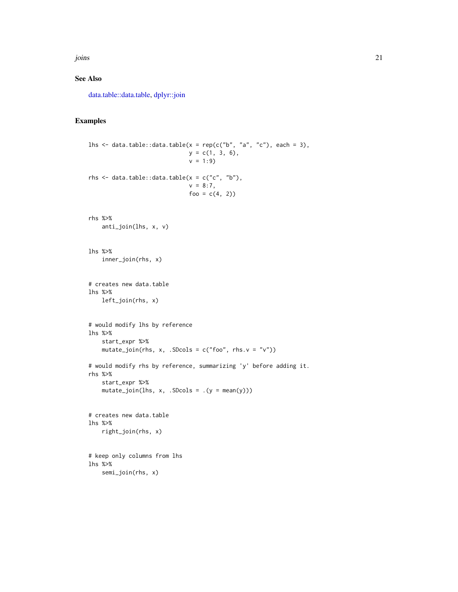<span id="page-20-0"></span>joins 21

## See Also

[data.table::data.table,](#page-0-0) [dplyr::join](#page-0-0)

## Examples

```
lhs \le data.table::data.table(x = rep(c("b", "a", "c"), each = 3),
                              y = c(1, 3, 6),
                              v = 1:9rhs \leq data.table::data.table(x = c("c", "b"),
                              v = 8:7,
                              foo = c(4, 2)rhs %>%
   anti_join(lhs, x, v)
lhs %>%
   inner_join(rhs, x)
# creates new data.table
lhs %>%
   left_join(rhs, x)
# would modify lhs by reference
lhs %>%
   start_expr %>%
   mutate_join(rhs, x, .SDcols = c("foo", rhs.v = "v")))
# would modify rhs by reference, summarizing 'y' before adding it.
rhs %>%
    start_expr %>%
    mutate\_join(lhs, x, .SDCols = .(y = mean(y)))# creates new data.table
lhs %>%
   right_join(rhs, x)
# keep only columns from lhs
lhs %>%
```

```
semi_join(rhs, x)
```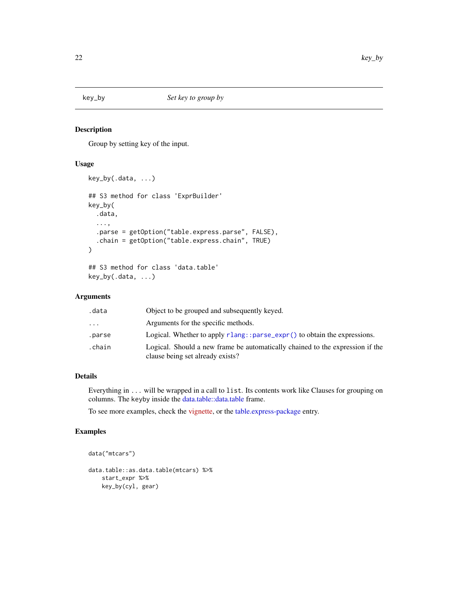<span id="page-21-0"></span>

## Description

Group by setting key of the input.

## Usage

```
key_by(.data, ...)
## S3 method for class 'ExprBuilder'
key_by(
  .data,
  ...,
  .parse = getOption("table.express.parse", FALSE),
  .chain = getOption("table.express.chain", TRUE)
\mathcal{L}## S3 method for class 'data.table'
key_by(.data, ...)
```
## Arguments

| .data                   | Object to be grouped and subsequently keyed.                                                                      |
|-------------------------|-------------------------------------------------------------------------------------------------------------------|
| $\cdot$ $\cdot$ $\cdot$ | Arguments for the specific methods.                                                                               |
| .parse                  | Logical. Whether to apply $rlang::parse\_expr()$ to obtain the expressions.                                       |
| .chain                  | Logical. Should a new frame be automatically chained to the expression if the<br>clause being set already exists? |

## Details

Everything in ... will be wrapped in a call to list. Its contents work like Clauses for grouping on columns. The keyby inside the [data.table::data.table](#page-0-0) frame.

To see more examples, check the [vignette,](https://asardaes.github.io/table.express/articles/table.express.html) or the [table.express-package](#page-1-1) entry.

## Examples

```
data("mtcars")
data.table::as.data.table(mtcars) %>%
   start_expr %>%
   key_by(cyl, gear)
```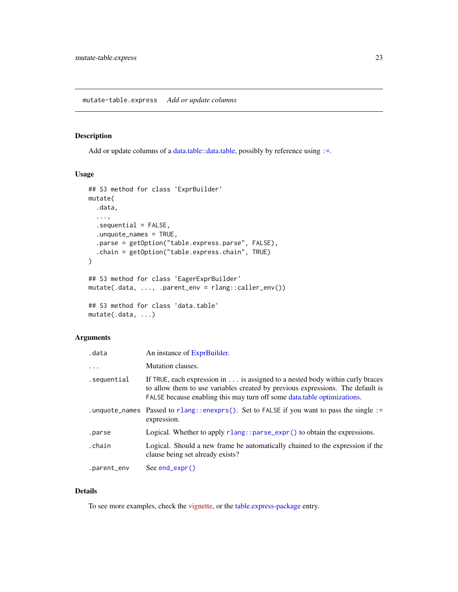## <span id="page-22-1"></span><span id="page-22-0"></span>Description

Add or update columns of a [data.table::data.table,](#page-0-0) possibly by reference using [:=](#page-0-0).

#### Usage

```
## S3 method for class 'ExprBuilder'
mutate(
  .data,
  ...,
  .sequential = FALSE,
  .unquote_names = TRUE,
  .parse = getOption("table.express.parse", FALSE),
  .chain = getOption("table.express.chain", TRUE)
)
## S3 method for class 'EagerExprBuilder'
mutate(.data, ..., .parent_env = rlang::caller_env())
## S3 method for class 'data.table'
mutate(.data, ...)
```
## Arguments

| .data       | An instance of ExprBuilder.                                                                                                                                                                                                                |
|-------------|--------------------------------------------------------------------------------------------------------------------------------------------------------------------------------------------------------------------------------------------|
| $\cdots$    | Mutation clauses.                                                                                                                                                                                                                          |
| .sequential | If TRUE, each expression in is assigned to a nested body within curly braces<br>to allow them to use variables created by previous expressions. The default is<br>FALSE because enabling this may turn off some data, table optimizations. |
|             | .unquote_names Passed to rlang::enexprs(). Set to FALSE if you want to pass the single :=<br>expression.                                                                                                                                   |
| .parse      | Logical. Whether to apply $rlang:parse\_expr()$ to obtain the expressions.                                                                                                                                                                 |
| .chain      | Logical. Should a new frame be automatically chained to the expression if the<br>clause being set already exists?                                                                                                                          |
| .parent_env | See end_expr $()$                                                                                                                                                                                                                          |

#### Details

To see more examples, check the [vignette,](https://asardaes.github.io/table.express/articles/table.express.html) or the [table.express-package](#page-1-1) entry.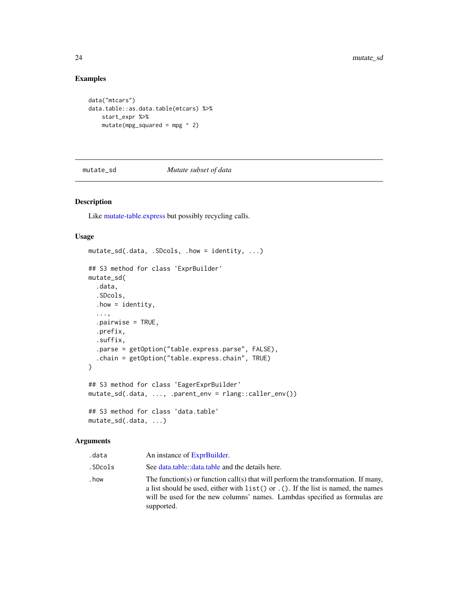## Examples

```
data("mtcars")
data.table::as.data.table(mtcars) %>%
   start_expr %>%
   mutate(mpg_squared = mpg ^ 2)
```
mutate\_sd *Mutate subset of data*

## Description

Like [mutate-table.express](#page-22-1) but possibly recycling calls.

#### Usage

```
mutate_sd(.data, .SDcols, .how = identity, ...)
## S3 method for class 'ExprBuilder'
mutate_sd(
  .data,
  .SDcols,
  . how = identity,
  ...,
  .pairwise = TRUE,
  .prefix,
  .suffix,
  .parse = getOption("table.express.parse", FALSE),
  .chain = getOption("table.express.chain", TRUE)
)
## S3 method for class 'EagerExprBuilder'
mutate_sd(.data, ..., .parent_env = rlang::caller_env())
## S3 method for class 'data.table'
mutate_sd(.data, ...)
```

| .data   | An instance of ExprBuilder.                                                                                                                                                                                                                                              |
|---------|--------------------------------------------------------------------------------------------------------------------------------------------------------------------------------------------------------------------------------------------------------------------------|
| .SDcols | See data.table::data.table and the details here.                                                                                                                                                                                                                         |
| . how   | The function(s) or function call(s) that will perform the transformation. If many,<br>a list should be used, either with $list()$ or $.()$ . If the list is named, the names<br>will be used for the new columns' names. Lambdas specified as formulas are<br>supported. |

<span id="page-23-0"></span>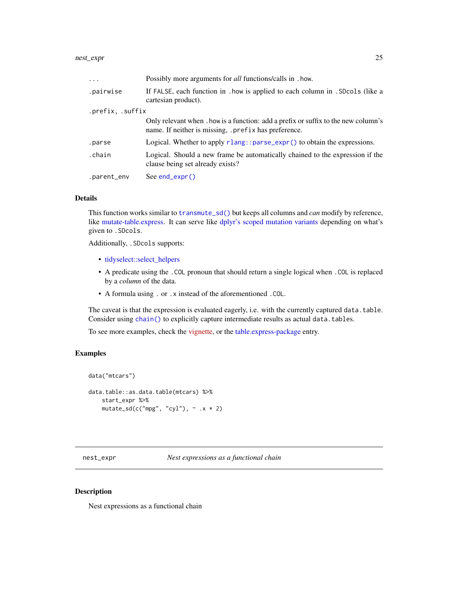<span id="page-24-0"></span>

| $\ddots$         | Possibly more arguments for <i>all</i> functions/calls in . how.                                                                           |
|------------------|--------------------------------------------------------------------------------------------------------------------------------------------|
| .pairwise        | If FALSE, each function in . how is applied to each column in . SDcols (like a<br>cartesian product).                                      |
| .prefix, .suffix |                                                                                                                                            |
|                  | Only relevant when . how is a function: add a prefix or suffix to the new column's<br>name. If neither is missing, .prefix has preference. |
| .parse           | Logical. Whether to apply $rlang:parse\_expr()$ to obtain the expressions.                                                                 |
| .chain           | Logical. Should a new frame be automatically chained to the expression if the<br>clause being set already exists?                          |
| .parent_env      | $See end\_expr()$                                                                                                                          |

#### Details

This function works similar to [transmute\\_sd\(\)](#page-30-1) but keeps all columns and *can* modify by reference, like [mutate-table.express.](#page-22-1) It can serve like [dplyr's scoped mutation variants](#page-0-0) depending on what's given to .SDcols.

Additionally, .SDcols supports:

- [tidyselect::select\\_helpers](#page-0-0)
- A predicate using the .COL pronoun that should return a single logical when .COL is replaced by a *column* of the data.
- A formula using . or .x instead of the aforementioned .COL.

The caveat is that the expression is evaluated eagerly, i.e. with the currently captured data.table. Consider using [chain\(\)](#page-5-1) to explicitly capture intermediate results as actual data.tables.

To see more examples, check the [vignette,](https://asardaes.github.io/table.express/articles/table.express.html) or the [table.express-package](#page-1-1) entry.

## Examples

```
data("mtcars")
data.table::as.data.table(mtcars) %>%
   start_expr %>%
    mutate_sd(c("mpg", "cyl"), \sim .x \star 2)
```
<span id="page-24-1"></span>nest\_expr *Nest expressions as a functional chain*

#### Description

Nest expressions as a functional chain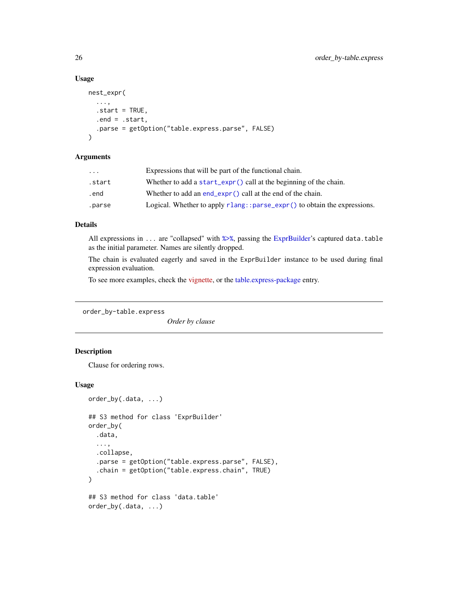#### Usage

```
nest_expr(
  ...,
  . start = TRUE,.end = .start,
  .parse = getOption("table.express.parse", FALSE)
\lambda
```
## Arguments

| $\cdots$ | Expressions that will be part of the functional chain.                          |
|----------|---------------------------------------------------------------------------------|
| .start   | Whether to add a start_expr() call at the beginning of the chain.               |
| .end     | Whether to add an end_expr() call at the end of the chain.                      |
| .parse   | Logical. Whether to apply $r$ lang:: $parse\_expr()$ to obtain the expressions. |

#### Details

All expressions in ... are "collapsed" with [%>%](#page-0-0), passing the [ExprBuilder'](#page-8-1)s captured data.table as the initial parameter. Names are silently dropped.

The chain is evaluated eagerly and saved in the ExprBuilder instance to be used during final expression evaluation.

To see more examples, check the [vignette,](https://asardaes.github.io/table.express/articles/table.express.html) or the [table.express-package](#page-1-1) entry.

<span id="page-25-1"></span>order\_by-table.express

*Order by clause*

## Description

Clause for ordering rows.

```
order_by(.data, ...)
## S3 method for class 'ExprBuilder'
order_by(
  .data,
  ...,
  .collapse,
  .parse = getOption("table.express.parse", FALSE),
  .chain = getOption("table.express.chain", TRUE)
\lambda## S3 method for class 'data.table'
order_by(.data, ...)
```
<span id="page-25-0"></span>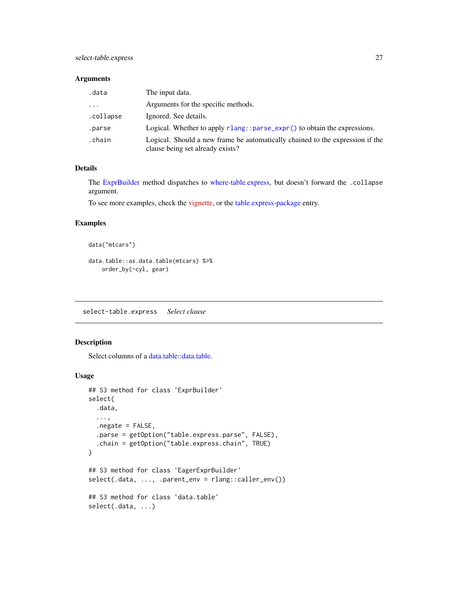<span id="page-26-0"></span>

| .data     | The input data.                                                                                                   |
|-----------|-------------------------------------------------------------------------------------------------------------------|
| .         | Arguments for the specific methods.                                                                               |
| .collapse | Ignored. See details.                                                                                             |
| .parse    | Logical. Whether to apply $r$ lang:: $parse_{\text{expr}}()$ to obtain the expressions.                           |
| .chain    | Logical. Should a new frame be automatically chained to the expression if the<br>clause being set already exists? |

## Details

The [ExprBuilder](#page-8-1) method dispatches to [where-table.express,](#page-32-1) but doesn't forward the .collapse argument.

To see more examples, check the [vignette,](https://asardaes.github.io/table.express/articles/table.express.html) or the [table.express-package](#page-1-1) entry.

#### Examples

```
data("mtcars")
```

```
data.table::as.data.table(mtcars) %>%
   order_by(-cyl, gear)
```
select-table.express *Select clause*

## Description

Select columns of a [data.table::data.table.](#page-0-0)

```
## S3 method for class 'ExprBuilder'
select(
  .data,
  ...,
  .negate = FALSE,
  .parse = getOption("table.express.parse", FALSE),
  .chain = getOption("table.express.chain", TRUE)
\mathcal{L}## S3 method for class 'EagerExprBuilder'
select(.data, ..., .parent_env = rlang::caller_env())
## S3 method for class 'data.table'
select(.data, ...)
```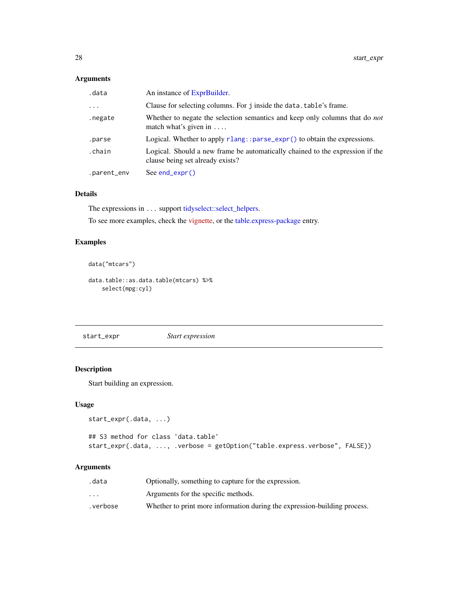<span id="page-27-0"></span>

| .data       | An instance of ExprBuilder.                                                                                         |
|-------------|---------------------------------------------------------------------------------------------------------------------|
| $\cdots$    | Clause for selecting columns. For j inside the data. table's frame.                                                 |
| .negate     | Whether to negate the selection semantics and keep only columns that do <i>not</i><br>match what's given in $\dots$ |
| .parse      | Logical. Whether to apply rlang:: parse_expr() to obtain the expressions.                                           |
| .chain      | Logical. Should a new frame be automatically chained to the expression if the<br>clause being set already exists?   |
| .parent_env | $See end\_expr()$                                                                                                   |

## Details

The expressions in ... support [tidyselect::select\\_helpers.](#page-0-0)

To see more examples, check the [vignette,](https://asardaes.github.io/table.express/articles/table.express.html) or the [table.express-package](#page-1-1) entry.

## Examples

```
data("mtcars")
```
data.table::as.data.table(mtcars) %>% select(mpg:cyl)

<span id="page-27-1"></span>start\_expr *Start expression*

## Description

Start building an expression.

## Usage

```
start_expr(.data, ...)
```

```
## S3 method for class 'data.table'
start_expr(.data, ..., .verbose = getOption("table.express.verbose", FALSE))
```

| .data                   | Optionally, something to capture for the expression.                      |
|-------------------------|---------------------------------------------------------------------------|
| $\cdot$ $\cdot$ $\cdot$ | Arguments for the specific methods.                                       |
| .verbose                | Whether to print more information during the expression-building process. |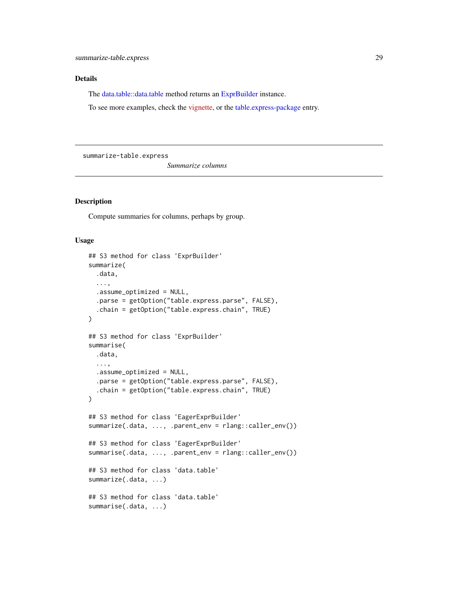## <span id="page-28-0"></span>Details

The [data.table::data.table](#page-0-0) method returns an [ExprBuilder](#page-8-1) instance.

To see more examples, check the [vignette,](https://asardaes.github.io/table.express/articles/table.express.html) or the [table.express-package](#page-1-1) entry.

summarize-table.express

*Summarize columns*

#### Description

Compute summaries for columns, perhaps by group.

```
## S3 method for class 'ExprBuilder'
summarize(
  .data,
  ...,
  .assume_optimized = NULL,
  .parse = getOption("table.express.parse", FALSE),
  .chain = getOption("table.express.chain", TRUE)
\lambda## S3 method for class 'ExprBuilder'
summarise(
  .data,
  ...,
  .assume_optimized = NULL,
  .parse = getOption("table.express.parse", FALSE),
  .chain = getOption("table.express.chain", TRUE)
)
## S3 method for class 'EagerExprBuilder'
summarize(.data, ..., .parent_env = rlang::caller_env())
## S3 method for class 'EagerExprBuilder'
summarise(.data, ..., .parent_env = rlang::caller_env())
## S3 method for class 'data.table'
summarize(.data, ...)
## S3 method for class 'data.table'
summarise(.data, ...)
```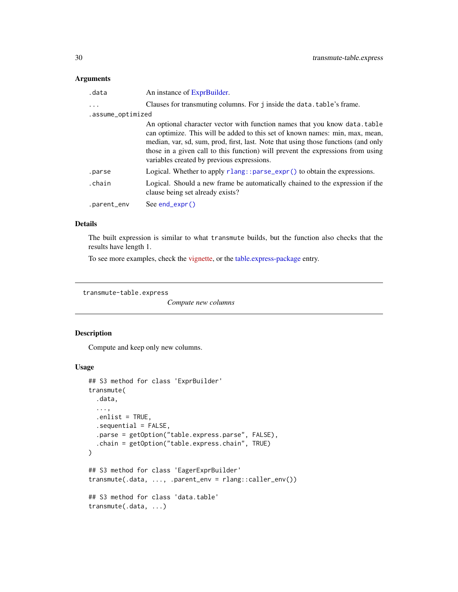<span id="page-29-0"></span>

| .data             | An instance of ExprBuilder.                                                                                                                                                                                                                                                                                                                                                      |
|-------------------|----------------------------------------------------------------------------------------------------------------------------------------------------------------------------------------------------------------------------------------------------------------------------------------------------------------------------------------------------------------------------------|
| $\cdots$          | Clauses for transmuting columns. For j inside the data. table's frame.                                                                                                                                                                                                                                                                                                           |
| .assume_optimized |                                                                                                                                                                                                                                                                                                                                                                                  |
|                   | An optional character vector with function names that you know data.table<br>can optimize. This will be added to this set of known names: min, max, mean,<br>median, var, sd, sum, prod, first, last. Note that using those functions (and only<br>those in a given call to this function) will prevent the expressions from using<br>variables created by previous expressions. |
| .parse            | Logical. Whether to apply $r$ lang:: $parse_{\text{expr}}(x)$ to obtain the expressions.                                                                                                                                                                                                                                                                                         |
| .chain            | Logical. Should a new frame be automatically chained to the expression if the<br>clause being set already exists?                                                                                                                                                                                                                                                                |
| .parent_env       | $See end\_expr()$                                                                                                                                                                                                                                                                                                                                                                |
|                   |                                                                                                                                                                                                                                                                                                                                                                                  |

## Details

The built expression is similar to what transmute builds, but the function also checks that the results have length 1.

To see more examples, check the [vignette,](https://asardaes.github.io/table.express/articles/table.express.html) or the [table.express-package](#page-1-1) entry.

<span id="page-29-1"></span>transmute-table.express

*Compute new columns*

## Description

Compute and keep only new columns.

```
## S3 method for class 'ExprBuilder'
transmute(
  .data,
  ...,
  .enlist = TRUE,
  .sequential = FALSE,
  .parse = getOption("table.express.parse", FALSE),
  .chain = getOption("table.express.chain", TRUE)
\mathcal{L}## S3 method for class 'EagerExprBuilder'
transmute(.data, ..., .parent_env = rlang::caller_env())
## S3 method for class 'data.table'
transmute(.data, ...)
```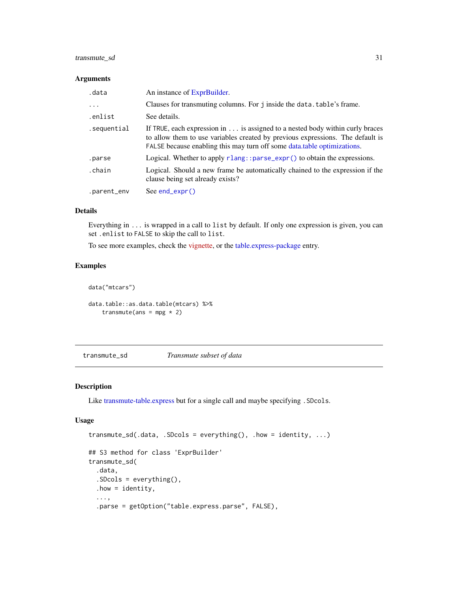## <span id="page-30-0"></span>transmute\_sd 31

#### Arguments

| .data       | An instance of ExprBuilder.                                                                                                                                                                                                                |
|-------------|--------------------------------------------------------------------------------------------------------------------------------------------------------------------------------------------------------------------------------------------|
| $\ddots$    | Clauses for transmuting columns. For j inside the data.table's frame.                                                                                                                                                                      |
| .enlist     | See details.                                                                                                                                                                                                                               |
| .sequential | If TRUE, each expression in is assigned to a nested body within curly braces<br>to allow them to use variables created by previous expressions. The default is<br>FALSE because enabling this may turn off some data, table optimizations. |
| .parse      | Logical. Whether to apply rlang::parse_expr() to obtain the expressions.                                                                                                                                                                   |
| .chain      | Logical. Should a new frame be automatically chained to the expression if the<br>clause being set already exists?                                                                                                                          |
| .parent_env | $See end\_expr()$                                                                                                                                                                                                                          |

#### Details

Everything in ... is wrapped in a call to list by default. If only one expression is given, you can set .enlist to FALSE to skip the call to list.

To see more examples, check the [vignette,](https://asardaes.github.io/table.express/articles/table.express.html) or the [table.express-package](#page-1-1) entry.

#### Examples

```
data("mtcars")
data.table::as.data.table(mtcars) %>%
    transmute(ans = mpg * 2)
```
<span id="page-30-1"></span>transmute\_sd *Transmute subset of data*

#### Description

Like [transmute-table.express](#page-29-1) but for a single call and maybe specifying .SDcols.

```
transmute_sd(.data, .SDcols = everything(), .how = identity, ...)
## S3 method for class 'ExprBuilder'
transmute_sd(
  .data,
  .SDcols = everything(),
  . how = identity,
  ...,
  .parse = getOption("table.express.parse", FALSE),
```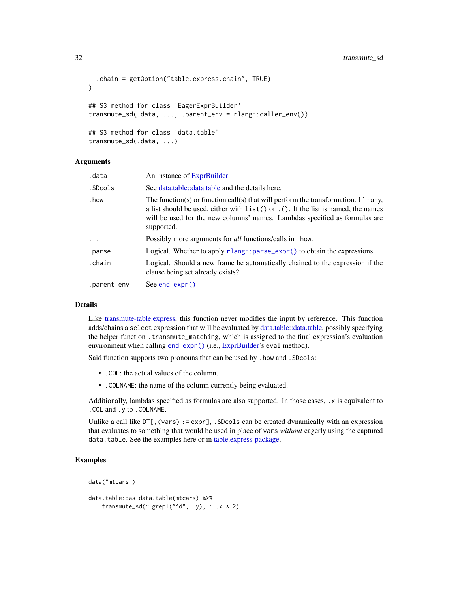```
.chain = getOption("table.express.chain", TRUE)
\lambda## S3 method for class 'EagerExprBuilder'
transmute_sd(.data, ..., .parent_env = rlang::caller_env())
## S3 method for class 'data.table'
transmute_sd(.data, ...)
```

| .data       | An instance of ExprBuilder.                                                                                                                                                                                                                                          |
|-------------|----------------------------------------------------------------------------------------------------------------------------------------------------------------------------------------------------------------------------------------------------------------------|
| .SDcols     | See data.table::data.table and the details here.                                                                                                                                                                                                                     |
| . how       | The function(s) or function call(s) that will perform the transformation. If many,<br>a list should be used, either with list() or . (). If the list is named, the names<br>will be used for the new columns' names. Lambdas specified as formulas are<br>supported. |
| $\cdots$    | Possibly more arguments for <i>all</i> functions/calls in . how.                                                                                                                                                                                                     |
| .parse      | Logical. Whether to apply $r$ lang:: $parse$ _expr() to obtain the expressions.                                                                                                                                                                                      |
| .chain      | Logical. Should a new frame be automatically chained to the expression if the<br>clause being set already exists?                                                                                                                                                    |
| .parent_env | See $end$ ( $\times$ pr()                                                                                                                                                                                                                                            |

## Details

Like [transmute-table.express,](#page-29-1) this function never modifies the input by reference. This function adds/chains a select expression that will be evaluated by [data.table::data.table,](#page-0-0) possibly specifying the helper function .transmute\_matching, which is assigned to the final expression's evaluation environment when calling [end\\_expr\(\)](#page-7-1) (i.e., [ExprBuilder'](#page-8-1)s eval method).

Said function supports two pronouns that can be used by .how and .SDcols:

- .COL: the actual values of the column.
- .COLNAME: the name of the column currently being evaluated.

Additionally, lambdas specified as formulas are also supported. In those cases, .x is equivalent to .COL and .y to .COLNAME.

Unlike a call like  $DT[,$  (vars) := expr], . SDcols can be created dynamically with an expression that evaluates to something that would be used in place of vars *without* eagerly using the captured data.table. See the examples here or in [table.express-package.](#page-1-1)

## Examples

```
data("mtcars")
```

```
data.table::as.data.table(mtcars) %>%
    transmute_sd(\sim grepl("\simd", .y), \sim .x \star 2)
```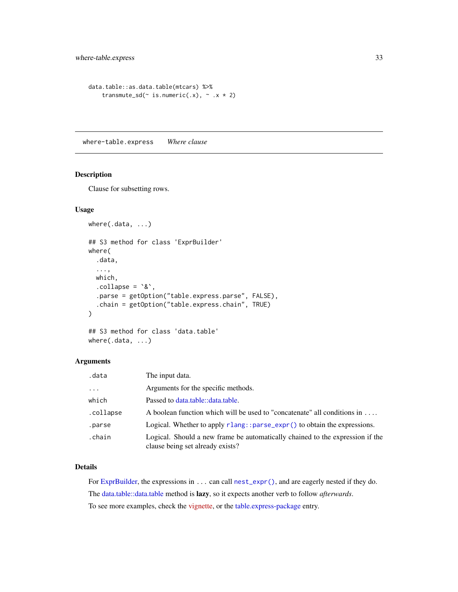```
data.table::as.data.table(mtcars) %>%
    transmute_sd(\sim is.numeric(.x), \sim .x * 2)
```
<span id="page-32-1"></span>where-table.express *Where clause*

#### Description

Clause for subsetting rows.

## Usage

```
where(.data, ...)
## S3 method for class 'ExprBuilder'
where(
  .data,
  ...,
  which,
  \text{collapse} = \text{``&\,},
  .parse = getOption("table.express.parse", FALSE),
  .chain = getOption("table.express.chain", TRUE)
\mathcal{L}
```

```
## S3 method for class 'data.table'
where(.data, ...)
```
## Arguments

| .data     | The input data.                                                                                                   |
|-----------|-------------------------------------------------------------------------------------------------------------------|
| $\cdots$  | Arguments for the specific methods.                                                                               |
| which     | Passed to data.table::data.table.                                                                                 |
| .collapse | A boolean function which will be used to "concatenate" all conditions in                                          |
| .parse    | Logical. Whether to apply rlang::parse_expr() to obtain the expressions.                                          |
| .chain    | Logical. Should a new frame be automatically chained to the expression if the<br>clause being set already exists? |

#### Details

For [ExprBuilder,](#page-8-1) the expressions in ... can call [nest\\_expr\(\)](#page-24-1), and are eagerly nested if they do. The [data.table::data.table](#page-0-0) method is lazy, so it expects another verb to follow *afterwards*. To see more examples, check the [vignette,](https://asardaes.github.io/table.express/articles/table.express.html) or the [table.express-package](#page-1-1) entry.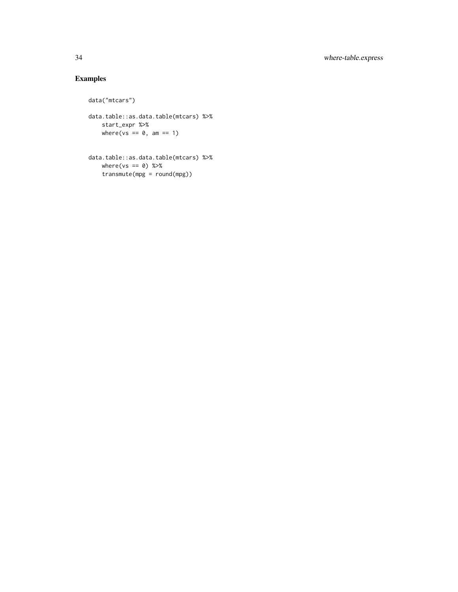## Examples

```
data("mtcars")
```

```
data.table::as.data.table(mtcars) %>%
   start_expr %>%
   where(vs == 0, am == 1)
```
data.table::as.data.table(mtcars) %>%  $where(vs == 0) %$ transmute(mpg = round(mpg))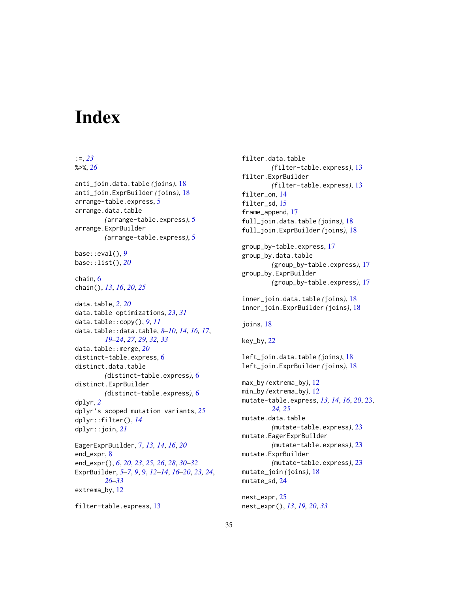# <span id="page-34-0"></span>**Index**

#### :=, *[23](#page-22-0)* %>%, *[26](#page-25-0)*

anti\_join.data.table *(*joins*)*, [18](#page-17-0) anti\_join.ExprBuilder *(*joins*)*, [18](#page-17-0) arrange-table.express, [5](#page-4-0) arrange.data.table *(*arrange-table.express*)*, [5](#page-4-0) arrange.ExprBuilder *(*arrange-table.express*)*, [5](#page-4-0) base::eval(), *[9](#page-8-0)* base::list(), *[20](#page-19-0)* chain, [6](#page-5-0) chain(), *[13](#page-12-0)*, *[16](#page-15-0)*, *[20](#page-19-0)*, *[25](#page-24-0)* data.table, *[2](#page-1-0)*, *[20](#page-19-0)* data.table optimizations, *[23](#page-22-0)*, *[31](#page-30-0)* data.table::copy(), *[9](#page-8-0)*, *[11](#page-10-4)* data.table::data.table, *[8–](#page-7-0)[10](#page-9-3)*, *[14](#page-13-0)*, *[16,](#page-15-0) [17](#page-16-0)*, *[19](#page-18-0)[–24](#page-23-0)*, *[27](#page-26-0)*, *[29](#page-28-0)*, *[32,](#page-31-0) [33](#page-32-0)* data.table::merge, *[20](#page-19-0)* distinct-table.express, [6](#page-5-0) distinct.data.table *(*distinct-table.express*)*, [6](#page-5-0) distinct.ExprBuilder *(*distinct-table.express*)*, [6](#page-5-0) dplyr, *[2](#page-1-0)* dplyr's scoped mutation variants, *[25](#page-24-0)* dplyr::filter(), *[14](#page-13-0)* dplyr::join, *[21](#page-20-0)* EagerExprBuilder, [7,](#page-6-0) *[13,](#page-12-0) [14](#page-13-0)*, *[16](#page-15-0)*, *[20](#page-19-0)* end\_expr, [8](#page-7-0) end\_expr(), *[6](#page-5-0)*, *[20](#page-19-0)*, *[23](#page-22-0)*, *[25,](#page-24-0) [26](#page-25-0)*, *[28](#page-27-0)*, *[30–](#page-29-0)[32](#page-31-0)*

ExprBuilder, *[5](#page-4-0)[–7](#page-6-0)*, *[9](#page-8-0)*, [9,](#page-8-0) *[12–](#page-11-0)[14](#page-13-0)*, *[16–](#page-15-0)[20](#page-19-0)*, *[23,](#page-22-0) [24](#page-23-0)*, *[26](#page-25-0)[–33](#page-32-0)* extrema\_by, [12](#page-11-0)

```
filter-table.express, 13
```
filter.data.table *(*filter-table.express*)*, [13](#page-12-0) filter.ExprBuilder *(*filter-table.express*)*, [13](#page-12-0) filter\_on, [14](#page-13-0) filter sd. [15](#page-14-0) frame\_append, [17](#page-16-0) full\_join.data.table *(*joins*)*, [18](#page-17-0) full\_join.ExprBuilder *(*joins*)*, [18](#page-17-0) group\_by-table.express, [17](#page-16-0) group\_by.data.table *(*group\_by-table.express*)*, [17](#page-16-0) group\_by.ExprBuilder *(*group\_by-table.express*)*, [17](#page-16-0) inner\_join.data.table *(*joins*)*, [18](#page-17-0) inner\_join.ExprBuilder *(*joins*)*, [18](#page-17-0) joins, [18](#page-17-0) key\_by, [22](#page-21-0) left\_join.data.table *(*joins*)*, [18](#page-17-0) left\_join.ExprBuilder *(*joins*)*, [18](#page-17-0) max\_by *(*extrema\_by*)*, [12](#page-11-0) min\_by *(*extrema\_by*)*, [12](#page-11-0) mutate-table.express, *[13,](#page-12-0) [14](#page-13-0)*, *[16](#page-15-0)*, *[20](#page-19-0)*, [23,](#page-22-0) *[24,](#page-23-0) [25](#page-24-0)* mutate.data.table *(*mutate-table.express*)*, [23](#page-22-0) mutate.EagerExprBuilder *(*mutate-table.express*)*, [23](#page-22-0) mutate.ExprBuilder *(*mutate-table.express*)*, [23](#page-22-0) mutate\_join *(*joins*)*, [18](#page-17-0) mutate\_sd, [24](#page-23-0)

nest\_expr, [25](#page-24-0) nest\_expr(), *[13](#page-12-0)*, *[19,](#page-18-0) [20](#page-19-0)*, *[33](#page-32-0)*